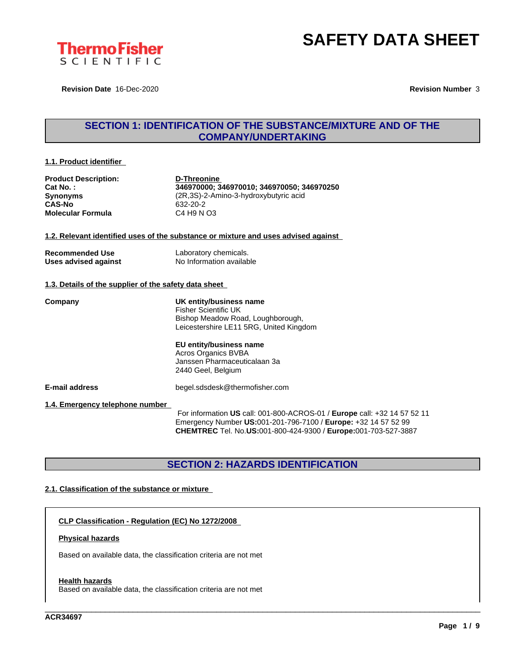

**Revision Date** 16-Dec-2020 **Revision Number** 3

# **SECTION 1: IDENTIFICATION OF THE SUBSTANCE/MIXTURE AND OF THE COMPANY/UNDERTAKING**

#### **1.1. Product identifier**

| <b>Product Description:</b><br>Cat No.:<br><b>Synonyms</b><br><b>CAS-No</b><br><b>Molecular Formula</b> | D-Threonine<br>346970000; 346970010; 346970050; 346970250<br>(2R,3S)-2-Amino-3-hydroxybutyric acid<br>632-20-2<br>C4 H9 N O3           |
|---------------------------------------------------------------------------------------------------------|----------------------------------------------------------------------------------------------------------------------------------------|
|                                                                                                         | 1.2. Relevant identified uses of the substance or mixture and uses advised against                                                     |
| <b>Recommended Use</b><br>Uses advised against                                                          | Laboratory chemicals.<br>No Information available                                                                                      |
| 1.3. Details of the supplier of the safety data sheet                                                   |                                                                                                                                        |
| Company                                                                                                 | UK entity/business name<br><b>Fisher Scientific UK</b><br>Bishop Meadow Road, Loughborough,<br>Leicestershire LE11 5RG, United Kingdom |
|                                                                                                         | EU entity/business name<br>Acros Organics BVBA<br>Janssen Pharmaceuticalaan 3a<br>2440 Geel, Belgium                                   |
| <b>E-mail address</b>                                                                                   | begel.sdsdesk@thermofisher.com                                                                                                         |
| 1.4. Emergency telephone number                                                                         | For information US call: 001-800-ACROS-01 / Europe call: +32 14 57 52 11                                                               |

Emergency Number **US:**001-201-796-7100 / **Europe:** +32 14 57 52 99 **CHEMTREC** Tel. No.**US:**001-800-424-9300 / **Europe:**001-703-527-3887

\_\_\_\_\_\_\_\_\_\_\_\_\_\_\_\_\_\_\_\_\_\_\_\_\_\_\_\_\_\_\_\_\_\_\_\_\_\_\_\_\_\_\_\_\_\_\_\_\_\_\_\_\_\_\_\_\_\_\_\_\_\_\_\_\_\_\_\_\_\_\_\_\_\_\_\_\_\_\_\_\_\_\_\_\_\_\_\_\_\_\_\_\_\_

# **SECTION 2: HAZARDS IDENTIFICATION**

### **2.1. Classification of the substance or mixture**

**CLP Classification - Regulation (EC) No 1272/2008**

#### **Physical hazards**

Based on available data, the classification criteria are not met

#### **Health hazards**

Based on available data, the classification criteria are not met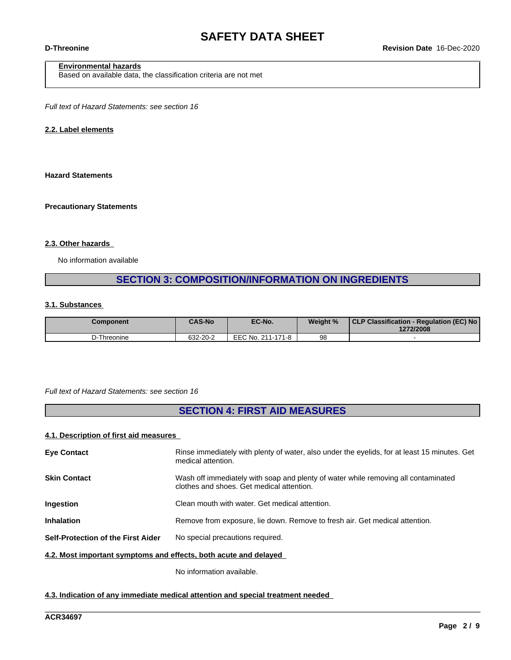## **Environmental hazards**

Based on available data, the classification criteria are not met

*Full text of Hazard Statements: see section 16*

#### **2.2. Label elements**

#### **Hazard Statements**

#### **Precautionary Statements**

#### **2.3. Other hazards**

No information available

# **SECTION 3: COMPOSITION/INFORMATION ON INGREDIENTS**

#### **3.1. Substances**

| Component   | <b>CAS-No</b> | EC-No.            | Weight % | CLP Classification - Regulation (EC) No  <br>1272/2008 |
|-------------|---------------|-------------------|----------|--------------------------------------------------------|
| D-Threonine | 632-20-2      | EEC No. 211-171-8 | 98       |                                                        |

#### *Full text of Hazard Statements: see section 16*

# **SECTION 4: FIRST AID MEASURES**

### **4.1. Description of first aid measures**

| <b>Eve Contact</b>                                               | Rinse immediately with plenty of water, also under the eyelids, for at least 15 minutes. Get<br>medical attention.              |
|------------------------------------------------------------------|---------------------------------------------------------------------------------------------------------------------------------|
| <b>Skin Contact</b>                                              | Wash off immediately with soap and plenty of water while removing all contaminated<br>clothes and shoes. Get medical attention. |
| Ingestion                                                        | Clean mouth with water. Get medical attention.                                                                                  |
| <b>Inhalation</b>                                                | Remove from exposure, lie down. Remove to fresh air. Get medical attention.                                                     |
| Self-Protection of the First Aider                               | No special precautions required.                                                                                                |
| 4.2. Most important symptoms and effects, both acute and delayed |                                                                                                                                 |

\_\_\_\_\_\_\_\_\_\_\_\_\_\_\_\_\_\_\_\_\_\_\_\_\_\_\_\_\_\_\_\_\_\_\_\_\_\_\_\_\_\_\_\_\_\_\_\_\_\_\_\_\_\_\_\_\_\_\_\_\_\_\_\_\_\_\_\_\_\_\_\_\_\_\_\_\_\_\_\_\_\_\_\_\_\_\_\_\_\_\_\_\_\_

No information available.

#### **4.3. Indication of any immediate medical attention and special treatment needed**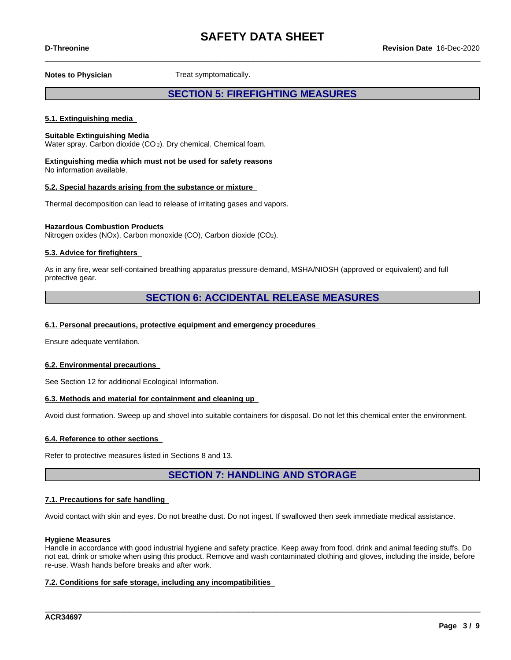**Notes to Physician** Treat symptomatically.

## **SECTION 5: FIREFIGHTING MEASURES**

#### **5.1. Extinguishing media**

#### **Suitable Extinguishing Media**

Water spray. Carbon dioxide (CO<sub>2</sub>). Dry chemical. Chemical foam.

**Extinguishing media which must not be used for safety reasons** No information available.

#### **5.2. Special hazards arising from the substance or mixture**

Thermal decomposition can lead to release of irritating gases and vapors.

#### **Hazardous Combustion Products**

Nitrogen oxides (NOx), Carbon monoxide (CO), Carbon dioxide (CO2).

#### **5.3. Advice for firefighters**

As in any fire, wear self-contained breathing apparatus pressure-demand, MSHA/NIOSH (approved or equivalent) and full protective gear.

## **SECTION 6: ACCIDENTAL RELEASE MEASURES**

#### **6.1. Personal precautions, protective equipment and emergency procedures**

Ensure adequate ventilation.

#### **6.2. Environmental precautions**

See Section 12 for additional Ecological Information.

#### **6.3. Methods and material for containment and cleaning up**

Avoid dust formation. Sweep up and shovel into suitable containers for disposal. Do not let this chemical enter the environment.

#### **6.4. Reference to other sections**

Refer to protective measures listed in Sections 8 and 13.

**SECTION 7: HANDLING AND STORAGE**

#### **7.1. Precautions for safe handling**

Avoid contact with skin and eyes. Do not breathe dust. Do not ingest. If swallowed then seek immediate medical assistance.

#### **Hygiene Measures**

Handle in accordance with good industrial hygiene and safety practice. Keep away from food, drink and animal feeding stuffs. Do not eat, drink or smoke when using this product. Remove and wash contaminated clothing and gloves, including the inside, before re-use. Wash hands before breaks and after work.

\_\_\_\_\_\_\_\_\_\_\_\_\_\_\_\_\_\_\_\_\_\_\_\_\_\_\_\_\_\_\_\_\_\_\_\_\_\_\_\_\_\_\_\_\_\_\_\_\_\_\_\_\_\_\_\_\_\_\_\_\_\_\_\_\_\_\_\_\_\_\_\_\_\_\_\_\_\_\_\_\_\_\_\_\_\_\_\_\_\_\_\_\_\_

#### **7.2. Conditions for safe storage, including any incompatibilities**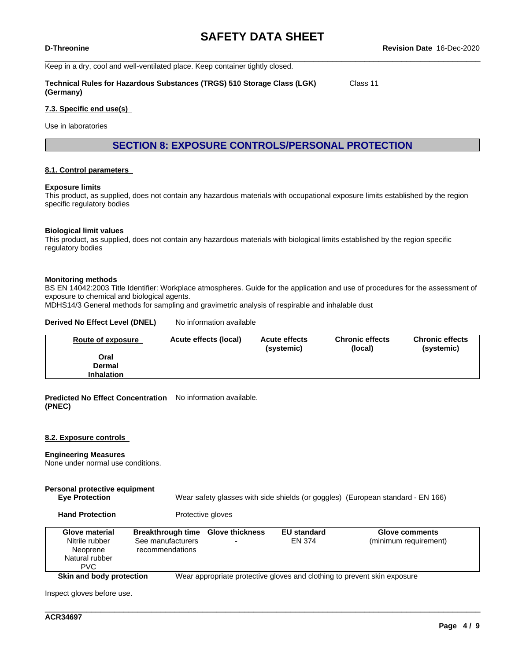Keep in a dry, cool and well-ventilated place. Keep container tightly closed.

**Technical Rules for Hazardous Substances (TRGS) 510 Storage Class (LGK) (Germany)** Class 11

#### **7.3. Specific end use(s)**

Use in laboratories

**SECTION 8: EXPOSURE CONTROLS/PERSONAL PROTECTION**

#### **8.1. Control parameters**

#### **Exposure limits**

This product, as supplied, does not contain any hazardous materials with occupational exposure limits established by the region specific regulatory bodies

#### **Biological limit values**

This product, as supplied, does not contain any hazardous materials with biological limits established by the region specific regulatory bodies

#### **Monitoring methods**

BS EN 14042:2003 Title Identifier: Workplace atmospheres. Guide for the application and use of procedures for the assessment of exposure to chemical and biological agents.

MDHS14/3 General methods for sampling and gravimetric analysis of respirable and inhalable dust

#### **Derived No Effect Level (DNEL)** No information available

| Route of exposure | Acute effects (local) | <b>Acute effects</b><br>(systemic) | <b>Chronic effects</b><br>(local) | <b>Chronic effects</b><br>(systemic) |
|-------------------|-----------------------|------------------------------------|-----------------------------------|--------------------------------------|
| Oral              |                       |                                    |                                   |                                      |
| Dermal            |                       |                                    |                                   |                                      |
| <b>Inhalation</b> |                       |                                    |                                   |                                      |

**Predicted No Effect Concentration** No information available. **(PNEC)**

#### **8.2. Exposure controls**

#### **Engineering Measures**

None under normal use conditions.

#### **Personal protective equipment Eye Protection** Wear safety glasses with side shields (or goggles) (European standard - EN 166)

**Hand Protection** Protective gloves

| Glove material<br>Nitrile rubber<br>Neoprene<br>Natural rubber<br><b>PVC</b> | Breakthrough time Glove thickness<br>See manufacturers<br>recommendations | <b>EU standard</b><br>EN 374 | <b>Glove comments</b><br>(minimum requirement)                           |
|------------------------------------------------------------------------------|---------------------------------------------------------------------------|------------------------------|--------------------------------------------------------------------------|
| Skin and body protection                                                     |                                                                           |                              | Wear appropriate protective gloves and clothing to prevent skin exposure |

\_\_\_\_\_\_\_\_\_\_\_\_\_\_\_\_\_\_\_\_\_\_\_\_\_\_\_\_\_\_\_\_\_\_\_\_\_\_\_\_\_\_\_\_\_\_\_\_\_\_\_\_\_\_\_\_\_\_\_\_\_\_\_\_\_\_\_\_\_\_\_\_\_\_\_\_\_\_\_\_\_\_\_\_\_\_\_\_\_\_\_\_\_\_

Inspect gloves before use.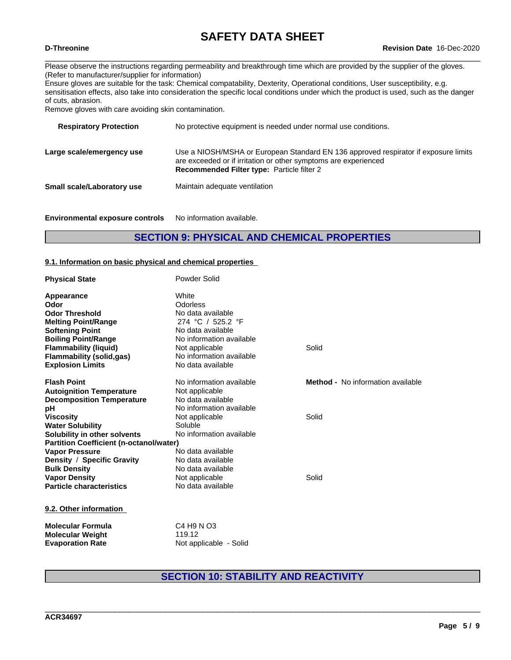Please observe the instructions regarding permeability and breakthrough time which are provided by the supplier of the gloves. (Refer to manufacturer/supplier for information)

Ensure gloves are suitable for the task: Chemical compatability, Dexterity, Operational conditions, User susceptibility, e.g. sensitisation effects, also take into consideration the specific local conditions under which the product is used, such as the danger of cuts, abrasion.

Remove gloves with care avoiding skin contamination.

| <b>Respiratory Protection</b> | No protective equipment is needed under normal use conditions.                                                                                                                                              |
|-------------------------------|-------------------------------------------------------------------------------------------------------------------------------------------------------------------------------------------------------------|
| Large scale/emergency use     | Use a NIOSH/MSHA or European Standard EN 136 approved respirator if exposure limits<br>are exceeded or if irritation or other symptoms are experienced<br><b>Recommended Filter type: Particle filter 2</b> |
| Small scale/Laboratory use    | Maintain adequate ventilation                                                                                                                                                                               |
|                               |                                                                                                                                                                                                             |

**Environmental exposure controls** No information available.

## **SECTION 9: PHYSICAL AND CHEMICAL PROPERTIES**

#### **9.1. Information on basic physical and chemical properties**

| <b>Physical State</b>                          | Powder Solid             |                                          |  |
|------------------------------------------------|--------------------------|------------------------------------------|--|
| Appearance                                     | White                    |                                          |  |
| Odor                                           | Odorless                 |                                          |  |
| <b>Odor Threshold</b>                          | No data available        |                                          |  |
| <b>Melting Point/Range</b>                     | 274 °C / 525.2 °F        |                                          |  |
| <b>Softening Point</b>                         | No data available        |                                          |  |
| <b>Boiling Point/Range</b>                     | No information available |                                          |  |
| <b>Flammability (liquid)</b>                   | Not applicable           | Solid                                    |  |
| <b>Flammability (solid,gas)</b>                | No information available |                                          |  |
| <b>Explosion Limits</b>                        | No data available        |                                          |  |
| <b>Flash Point</b>                             | No information available | <b>Method -</b> No information available |  |
| <b>Autoignition Temperature</b>                | Not applicable           |                                          |  |
| <b>Decomposition Temperature</b>               | No data available        |                                          |  |
| рH                                             | No information available |                                          |  |
| <b>Viscosity</b>                               | Not applicable           | Solid                                    |  |
| <b>Water Solubility</b>                        | Soluble                  |                                          |  |
| Solubility in other solvents                   | No information available |                                          |  |
| <b>Partition Coefficient (n-octanol/water)</b> |                          |                                          |  |
| <b>Vapor Pressure</b>                          | No data available        |                                          |  |
| Density / Specific Gravity                     | No data available        |                                          |  |
| <b>Bulk Density</b>                            | No data available        |                                          |  |
| <b>Vapor Density</b>                           | Not applicable           | Solid                                    |  |
| <b>Particle characteristics</b>                | No data available        |                                          |  |
| 9.2. Other information                         |                          |                                          |  |
| Material and Females                           | 0.110100                 |                                          |  |

| <b>Molecular Formula</b> | C4 H9 N O3             |
|--------------------------|------------------------|
| <b>Molecular Weight</b>  | 119.12                 |
| <b>Evaporation Rate</b>  | Not applicable - Solid |

# **SECTION 10: STABILITY AND REACTIVITY**

\_\_\_\_\_\_\_\_\_\_\_\_\_\_\_\_\_\_\_\_\_\_\_\_\_\_\_\_\_\_\_\_\_\_\_\_\_\_\_\_\_\_\_\_\_\_\_\_\_\_\_\_\_\_\_\_\_\_\_\_\_\_\_\_\_\_\_\_\_\_\_\_\_\_\_\_\_\_\_\_\_\_\_\_\_\_\_\_\_\_\_\_\_\_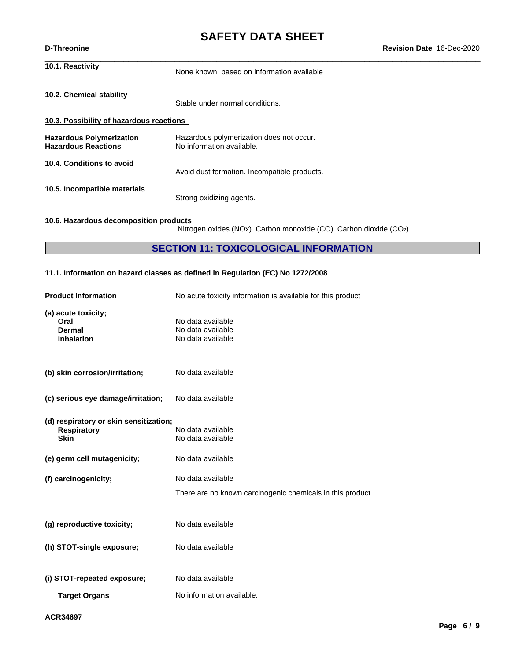# **SAFETY DATA SHEET**<br>Revision Date 16-Dec-2020

| <b>D-Threonine</b>                                            |                                                                       | Revision Date 16-Dec-2020 |
|---------------------------------------------------------------|-----------------------------------------------------------------------|---------------------------|
| 10.1. Reactivity                                              | None known, based on information available                            |                           |
| 10.2. Chemical stability                                      | Stable under normal conditions.                                       |                           |
| 10.3. Possibility of hazardous reactions                      |                                                                       |                           |
| <b>Hazardous Polymerization</b><br><b>Hazardous Reactions</b> | Hazardous polymerization does not occur.<br>No information available. |                           |
| 10.4. Conditions to avoid                                     | Avoid dust formation. Incompatible products.                          |                           |
| 10.5. Incompatible materials                                  | Strong oxidizing agents.                                              |                           |
|                                                               |                                                                       |                           |

## **10.6. Hazardous decomposition products**

Nitrogen oxides (NOx). Carbon monoxide (CO). Carbon dioxide (CO2).

## **SECTION 11: TOXICOLOGICAL INFORMATION**

## **11.1. Information on hazard classes as defined in Regulation (EC) No 1272/2008**

| <b>Product Information</b>                                                  | No acute toxicity information is available for this product                    |
|-----------------------------------------------------------------------------|--------------------------------------------------------------------------------|
| (a) acute toxicity;<br>Oral<br>Dermal<br><b>Inhalation</b>                  | No data available<br>No data available<br>No data available                    |
| (b) skin corrosion/irritation;                                              | No data available                                                              |
| (c) serious eye damage/irritation;                                          | No data available                                                              |
| (d) respiratory or skin sensitization;<br><b>Respiratory</b><br><b>Skin</b> | No data available<br>No data available                                         |
| (e) germ cell mutagenicity;                                                 | No data available                                                              |
| (f) carcinogenicity;                                                        | No data available<br>There are no known carcinogenic chemicals in this product |
| (g) reproductive toxicity;                                                  | No data available                                                              |
| (h) STOT-single exposure;                                                   | No data available                                                              |
| (i) STOT-repeated exposure;                                                 | No data available                                                              |
| <b>Target Organs</b>                                                        | No information available.                                                      |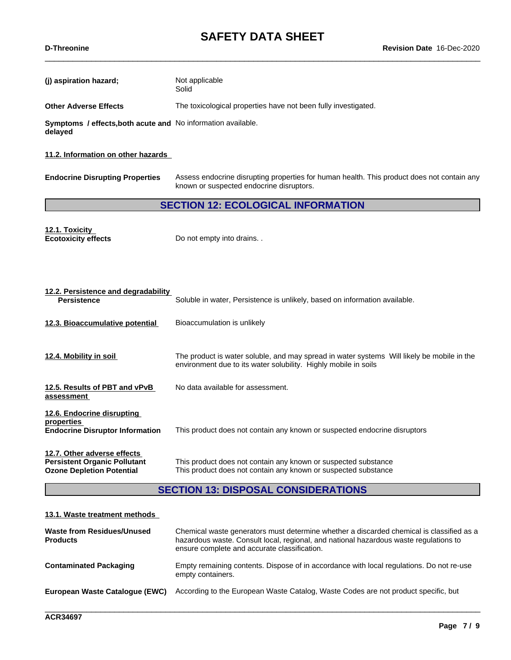**(j)** aspiration hazard; Not applicable

|                                                                                                 | Solid                                                                                                                                                                                                                             |
|-------------------------------------------------------------------------------------------------|-----------------------------------------------------------------------------------------------------------------------------------------------------------------------------------------------------------------------------------|
| <b>Other Adverse Effects</b>                                                                    | The toxicological properties have not been fully investigated.                                                                                                                                                                    |
| Symptoms / effects, both acute and No information available.<br>delayed                         |                                                                                                                                                                                                                                   |
| 11.2. Information on other hazards                                                              |                                                                                                                                                                                                                                   |
| <b>Endocrine Disrupting Properties</b>                                                          | Assess endocrine disrupting properties for human health. This product does not contain any<br>known or suspected endocrine disruptors.                                                                                            |
|                                                                                                 | <b>SECTION 12: ECOLOGICAL INFORMATION</b>                                                                                                                                                                                         |
| 12.1. Toxicity<br><b>Ecotoxicity effects</b>                                                    | Do not empty into drains                                                                                                                                                                                                          |
|                                                                                                 |                                                                                                                                                                                                                                   |
| 12.2. Persistence and degradability<br><b>Persistence</b>                                       | Soluble in water, Persistence is unlikely, based on information available.                                                                                                                                                        |
| 12.3. Bioaccumulative potential                                                                 | Bioaccumulation is unlikely                                                                                                                                                                                                       |
| 12.4. Mobility in soil                                                                          | The product is water soluble, and may spread in water systems Will likely be mobile in the<br>environment due to its water solubility. Highly mobile in soils                                                                     |
| 12.5. Results of PBT and vPvB<br>assessment                                                     | No data available for assessment.                                                                                                                                                                                                 |
| 12.6. Endocrine disrupting<br>properties<br><b>Endocrine Disruptor Information</b>              | This product does not contain any known or suspected endocrine disruptors                                                                                                                                                         |
| 12.7. Other adverse effects<br>Persistent Organic Pollutant<br><b>Ozone Depletion Potential</b> | This product does not contain any known or suspected substance<br>This product does not contain any known or suspected substance                                                                                                  |
|                                                                                                 | <b>SECTION 13: DISPOSAL CONSIDERATIONS</b>                                                                                                                                                                                        |
| 13.1. Waste treatment methods                                                                   |                                                                                                                                                                                                                                   |
| <b>Waste from Residues/Unused</b><br>Products                                                   | Chemical waste generators must determine whether a discarded chemical is classified as a<br>hazardous waste. Consult local, regional, and national hazardous waste regulations to<br>ensure complete and accurate classification. |

\_\_\_\_\_\_\_\_\_\_\_\_\_\_\_\_\_\_\_\_\_\_\_\_\_\_\_\_\_\_\_\_\_\_\_\_\_\_\_\_\_\_\_\_\_\_\_\_\_\_\_\_\_\_\_\_\_\_\_\_\_\_\_\_\_\_\_\_\_\_\_\_\_\_\_\_\_\_\_\_\_\_\_\_\_\_\_\_\_\_\_\_\_\_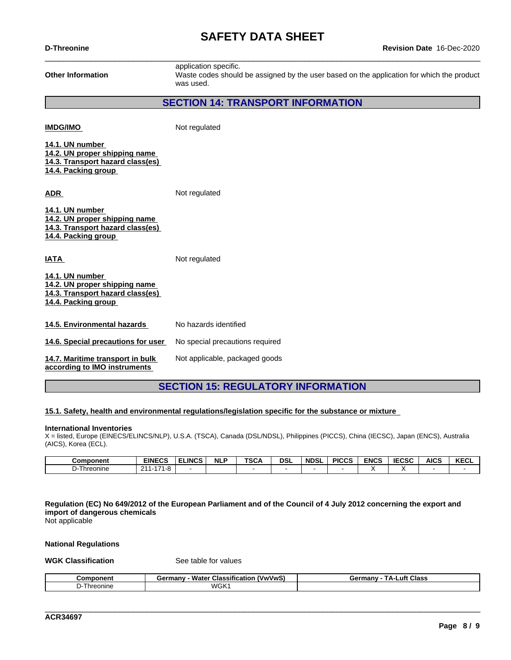| <b>Other Information</b>                                                                                    | application specific.<br>Waste codes should be assigned by the user based on the application for which the product<br>was used. |
|-------------------------------------------------------------------------------------------------------------|---------------------------------------------------------------------------------------------------------------------------------|
|                                                                                                             | <b>SECTION 14: TRANSPORT INFORMATION</b>                                                                                        |
| <b>IMDG/IMO</b>                                                                                             | Not regulated                                                                                                                   |
| 14.1. UN number<br>14.2. UN proper shipping name<br>14.3. Transport hazard class(es)<br>14.4. Packing group |                                                                                                                                 |
| <b>ADR</b>                                                                                                  | Not regulated                                                                                                                   |
| 14.1. UN number<br>14.2. UN proper shipping name<br>14.3. Transport hazard class(es)<br>14.4. Packing group |                                                                                                                                 |
| <b>IATA</b>                                                                                                 | Not regulated                                                                                                                   |
| 14.1. UN number<br>14.2. UN proper shipping name<br>14.3. Transport hazard class(es)<br>14.4. Packing group |                                                                                                                                 |
| 14.5. Environmental hazards                                                                                 | No hazards identified                                                                                                           |
| 14.6. Special precautions for user                                                                          | No special precautions required                                                                                                 |
| 14.7. Maritime transport in bulk<br>according to IMO instruments                                            | Not applicable, packaged goods                                                                                                  |

# **SECTION 15: REGULATORY INFORMATION**

#### **15.1. Safety, health and environmental regulations/legislation specific for the substance or mixture**

#### **International Inventories**

X = listed, Europe (EINECS/ELINCS/NLP), U.S.A. (TSCA), Canada (DSL/NDSL), Philippines (PICCS), China (IECSC), Japan (ENCS), Australia (AICS), Korea (ECL).

| Component | <b>EINECS</b>                   | <b>ELINCS</b> | <b>NLP</b> | <b>TSC/</b> | <b>DSL</b> | <b>NDSL</b> | <b>PICCS</b> | <b>ENCS</b> | <b>IECSC</b> | <b>AICS</b> | <b>KECL</b> |
|-----------|---------------------------------|---------------|------------|-------------|------------|-------------|--------------|-------------|--------------|-------------|-------------|
| Threonine | $474$ $0$<br>ົາ<br><br>1-8<br>. |               |            |             |            |             |              |             |              |             |             |

Regulation (EC) No 649/2012 of the European Parliament and of the Council of 4 July 2012 concerning the export and **import of dangerous chemicals** Not applicable

#### **National Regulations**

#### **WGK Classification** See table for values

| Component  | <br>Water<br>(VwVwS)<br><b>Classification</b><br>Germany | TA-I<br>Class<br>∟uft ∶<br>Germany |
|------------|----------------------------------------------------------|------------------------------------|
| ' hreonine | WGK <sub>1</sub>                                         |                                    |

\_\_\_\_\_\_\_\_\_\_\_\_\_\_\_\_\_\_\_\_\_\_\_\_\_\_\_\_\_\_\_\_\_\_\_\_\_\_\_\_\_\_\_\_\_\_\_\_\_\_\_\_\_\_\_\_\_\_\_\_\_\_\_\_\_\_\_\_\_\_\_\_\_\_\_\_\_\_\_\_\_\_\_\_\_\_\_\_\_\_\_\_\_\_